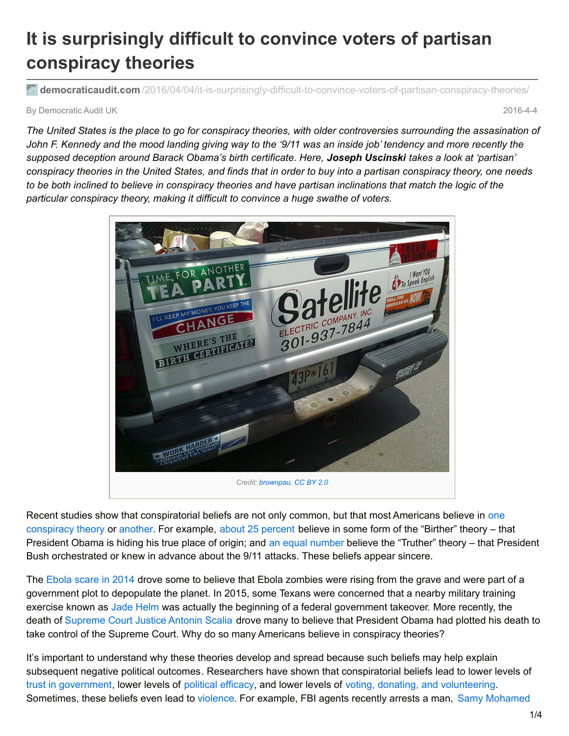## **It is surprisingly difficult to convince voters of partisan conspiracy theories**

**democraticaudit.com** [/2016/04/04/it-is-surprisingly-difficult-to-convince-voters-of-partisan-conspiracy-theories/](http://www.democraticaudit.com/2016/04/04/it-is-surprisingly-difficult-to-convince-voters-of-partisan-conspiracy-theories/)

By Democratic Audit UK 2016-4-4

The United States is the place to go for conspiracy theories, with older controversies surrounding the assasination of John F. Kennedy and the mood landing giving way to the '9/11 was an inside iob' tendency and more recently the *supposed deception around Barack Obama's birth certificate. Here, Joseph Uscinski takes a look at 'partisan'* conspiracy theories in the United States, and finds that in order to buy into a partisan conspiracy theory, one needs to be both inclined to believe in conspiracy theories and have partisan inclinations that match the logic of the *particular conspiracy theory, making it difficult to convince a huge swathe of voters.*



Recent studies show that [conspiratorial](http://onlinelibrary.wiley.com/doi/10.1111/ajps.12234/full) beliefs are not only common, but that most Americans believe in one conspiracy theory or [another](http://onlinelibrary.wiley.com/doi/10.1111/ajps.12084/full). For example, about 25 [percent](https://today.yougov.com/news/2012/10/01/birthers-arent-going-anywhere-update/) believe in some form of the "Birther" theory – that President Obama is hiding his true place of origin; and an equal [number](http://www.brendan-nyhan.com/blog/2009/08/911-and-birther-misperceptions-compared.html) believe the "Truther" theory – that President Bush orchestrated or knew in advance about the 9/11 attacks. These beliefs appear sincere.

The [Ebola](http://blogs.lse.ac.uk/usappblog/2014/11/10/partisanship-history-and-peoples-predispositions-for-believing-in-conspiracies-are-fuelling-fears-about-ebola/) scare in 2014 drove some to believe that Ebola zombies were rising from the grave and were part of a government plot to depopulate the planet. In 2015, some Texans were concerned that a nearby military training exercise known as Jade [Helm](http://www.chron.com/news/houston-texas/article/Ted-Cruz-understand-Jade-Helm-concerns-6246697.php) was actually the beginning of a federal government takeover. More recently, the death of [Supreme](https://www.washingtonpost.com/posteverything/wp/2016/02/19/the-psychology-behind-why-people-believe-conspiracy-theories-about-scalias-death/) Court Justice Antonin Scalia drove many to believe that President Obama had plotted his death to take control of the Supreme Court. Why do so many Americans believe in conspiracy theories?

It's important to understand why these theories develop and spread because such beliefs may help explain subsequent negative political outcomes. Researchers have shown that conspiratorial beliefs lead to lower levels of trust in [government](http://onlinelibrary.wiley.com/doi/10.1111/bjop.12018/full), lower levels of [political](http://onlinelibrary.wiley.com/doi/10.1111/bjop.12018/full) efficacy, and lower levels of voting, donating, and [volunteering](http://www.amazon.co.uk/American-Conspiracy-Theories-Joseph-Uscinski-ebook/dp/B00MN95OXY/ref=tmm_kin_swatch_0?_encoding=UTF8&qid=1458247224&sr=8-1). [Sometimes,](http://www.cnn.com/2016/01/26/us/milwaukee-masonic-temple-mass-shooting-planned-charges/) these beliefs even lead to [violence](https://www.washingtonpost.com/news/monkey-cage/wp/2016/02/05/are-conspiracy-theorists-plotting-to-blow-up-the-u-s/). For example, FBI agents recently arrests a man, Samy Mohamed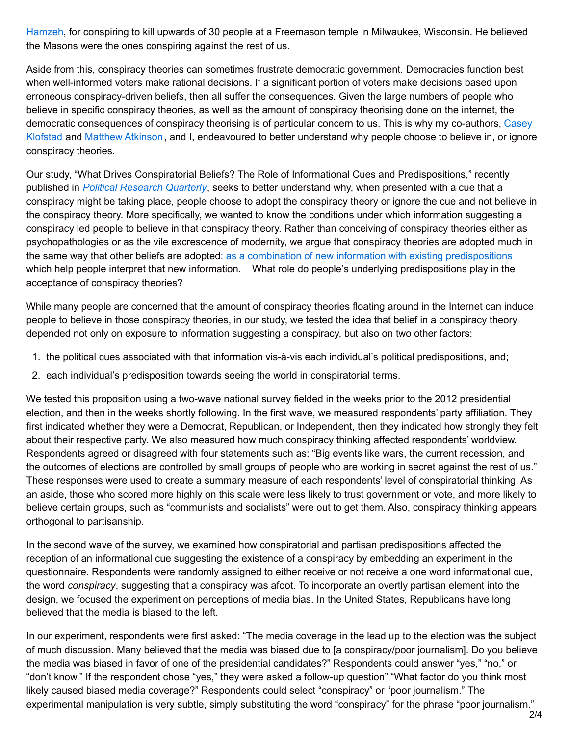Hamzeh, for conspiring to kill upwards of 30 people at a Freemason temple in Milwaukee, Wisconsin. He believed the Masons were the ones conspiring against the rest of us.

Aside from this, conspiracy theories can sometimes frustrate democratic government. Democracies function best when well-informed voters make rational decisions. If a significant portion of voters make decisions based upon erroneous conspiracy-driven beliefs, then all suffer the consequences. Given the large numbers of people who believe in specific conspiracy theories, as well as the amount of conspiracy theorising done on the internet, the democratic [consequences](http://klofstad.weebly.com/) of conspiracy theorising is of particular concern to us. This is why my co-authors, Casey Klofstad and Matthew [Atkinson](http://mdatkinson.weebly.com/), and I, endeavoured to better understand why people choose to believe in, or ignore conspiracy theories.

Our study, "What Drives Conspiratorial Beliefs? The Role of Informational Cues and Predispositions," recently published in *Political [Research](http://prq.sagepub.com/content/early/2016/01/11/1065912915621621.abstract) Quarterly*, seeks to better understand why, when presented with a cue that a conspiracy might be taking place, people choose to adopt the conspiracy theory or ignore the cue and not believe in the conspiracy theory. More specifically, we wanted to know the conditions under which information suggesting a conspiracy led people to believe in that conspiracy theory. Rather than conceiving of conspiracy theories either as psychopathologies or as the vile excrescence of modernity, we argue that conspiracy theories are adopted much in the same way that other beliefs are adopted: as a combination of new information with existing [predispositions](http://www.amazon.com/Origins-Opinion-Cambridge-Political-Psychology/dp/0521407869) which help people interpret that new information. What role do people's underlying predispositions play in the acceptance of conspiracy theories?

While many people are concerned that the amount of conspiracy theories floating around in the Internet can induce people to believe in those conspiracy theories, in our study, we tested the idea that belief in a conspiracy theory depended not only on exposure to information suggesting a conspiracy, but also on two other factors:

- 1. the political cues associated with that information vis-à-vis each individual's political predispositions, and;
- 2. each individual's predisposition towards seeing the world in conspiratorial terms.

We tested this proposition using a two-wave national survey fielded in the weeks prior to the 2012 presidential election, and then in the weeks shortly following. In the first wave, we measured respondents' party affiliation. They first indicated whether they were a Democrat, Republican, or Independent, then they indicated how strongly they felt about their respective party. We also measured how much conspiracy thinking affected respondents' worldview. Respondents agreed or disagreed with four statements such as: "Big events like wars, the current recession, and the outcomes of elections are controlled by small groups of people who are working in secret against the rest of us." These responses were used to create a summary measure of each respondents' level of conspiratorial thinking. As an aside, those who scored more highly on this scale were less likely to trust government or vote, and more likely to believe certain groups, such as "communists and socialists" were out to get them. Also, conspiracy thinking appears orthogonal to partisanship.

In the second wave of the survey, we examined how conspiratorial and partisan predispositions affected the reception of an informational cue suggesting the existence of a conspiracy by embedding an experiment in the questionnaire. Respondents were randomly assigned to either receive or not receive a one word informational cue, the word *conspiracy*, suggesting that a conspiracy was afoot. To incorporate an overtly partisan element into the design, we focused the experiment on perceptions of media bias. In the United States, Republicans have long believed that the media is biased to the left.

In our experiment, respondents were first asked: "The media coverage in the lead up to the election was the subject of much discussion. Many believed that the media was biased due to [a conspiracy/poor journalism]. Do you believe the media was biased in favor of one of the presidential candidates?" Respondents could answer "yes," "no," or "don't know." If the respondent chose "yes," they were asked a follow-up question" "What factor do you think most likely caused biased media coverage?" Respondents could select "conspiracy" or "poor journalism." The experimental manipulation is very subtle, simply substituting the word "conspiracy" for the phrase "poor journalism."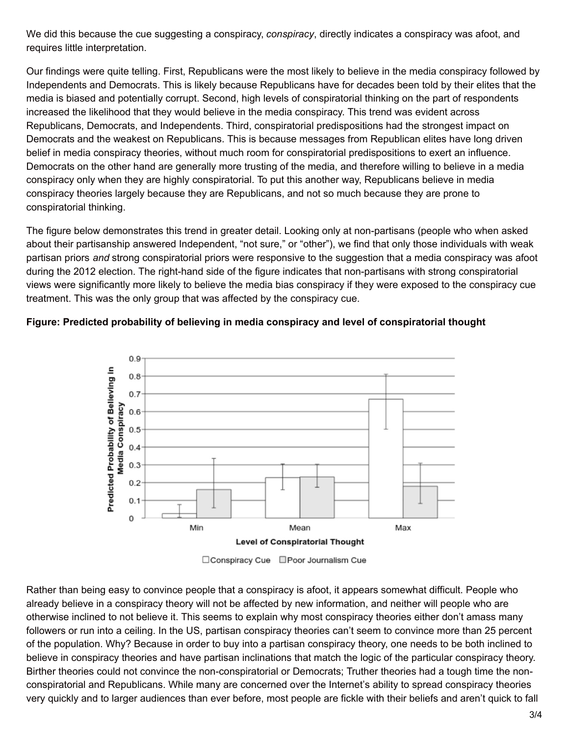We did this because the cue suggesting a conspiracy, *conspiracy*, directly indicates a conspiracy was afoot, and requires little interpretation.

Our findings were quite telling. First, Republicans were the most likely to believe in the media conspiracy followed by Independents and Democrats. This is likely because Republicans have for decades been told by their elites that the media is biased and potentially corrupt. Second, high levels of conspiratorial thinking on the part of respondents increased the likelihood that they would believe in the media conspiracy. This trend was evident across Republicans, Democrats, and Independents. Third, conspiratorial predispositions had the strongest impact on Democrats and the weakest on Republicans. This is because messages from Republican elites have long driven belief in media conspiracy theories, without much room for conspiratorial predispositions to exert an influence. Democrats on the other hand are generally more trusting of the media, and therefore willing to believe in a media conspiracy only when they are highly conspiratorial. To put this another way, Republicans believe in media conspiracy theories largely because they are Republicans, and not so much because they are prone to conspiratorial thinking.

The figure below demonstrates this trend in greater detail. Looking only at non-partisans (people who when asked about their partisanship answered Independent, "not sure," or "other"), we find that only those individuals with weak partisan priors *and* strong conspiratorial priors were responsive to the suggestion that a media conspiracy was afoot during the 2012 election. The right-hand side of the figure indicates that non-partisans with strong conspiratorial views were significantly more likely to believe the media bias conspiracy if they were exposed to the conspiracy cue treatment. This was the only group that was affected by the conspiracy cue.

## **Figure: Predicted probability of believing in media conspiracy and level of conspiratorial thought**



□ Conspiracy Cue □ Poor Journalism Cue

Rather than being easy to convince people that a conspiracy is afoot, it appears somewhat difficult. People who already believe in a conspiracy theory will not be affected by new information, and neither will people who are otherwise inclined to not believe it. This seems to explain why most conspiracy theories either don't amass many followers or run into a ceiling. In the US, partisan conspiracy theories can't seem to convince more than 25 percent of the population. Why? Because in order to buy into a partisan conspiracy theory, one needs to be both inclined to believe in conspiracy theories and have partisan inclinations that match the logic of the particular conspiracy theory. Birther theories could not convince the non-conspiratorial or Democrats; Truther theories had a tough time the nonconspiratorial and Republicans. While many are concerned over the Internet's ability to spread conspiracy theories very quickly and to larger audiences than ever before, most people are fickle with their beliefs and aren't quick to fall